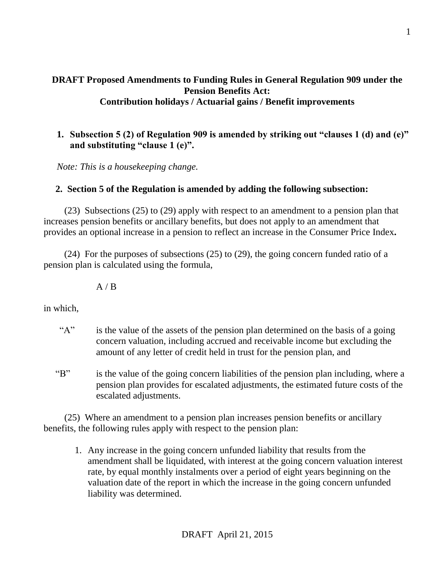## **DRAFT Proposed Amendments to Funding Rules in General Regulation 909 under the Pension Benefits Act: Contribution holidays / Actuarial gains / Benefit improvements**

# **1. Subsection 5 (2) of Regulation 909 is amended by striking out "clauses 1 (d) and (e)" and substituting "clause 1 (e)".**

*Note: This is a housekeeping change.*

#### **2. Section 5 of the Regulation is amended by adding the following subsection:**

(23) Subsections (25) to (29) apply with respect to an amendment to a pension plan that increases pension benefits or ancillary benefits, but does not apply to an amendment that provides an optional increase in a pension to reflect an increase in the Consumer Price Index**.** 

 (24) For the purposes of subsections (25) to (29), the going concern funded ratio of a pension plan is calculated using the formula,

 $A / B$ 

in which,

- "A" is the value of the assets of the pension plan determined on the basis of a going concern valuation, including accrued and receivable income but excluding the amount of any letter of credit held in trust for the pension plan, and
- "B" is the value of the going concern liabilities of the pension plan including, where a pension plan provides for escalated adjustments, the estimated future costs of the escalated adjustments.

(25) Where an amendment to a pension plan increases pension benefits or ancillary benefits, the following rules apply with respect to the pension plan:

1. Any increase in the going concern unfunded liability that results from the amendment shall be liquidated, with interest at the going concern valuation interest rate, by equal monthly instalments over a period of eight years beginning on the valuation date of the report in which the increase in the going concern unfunded liability was determined.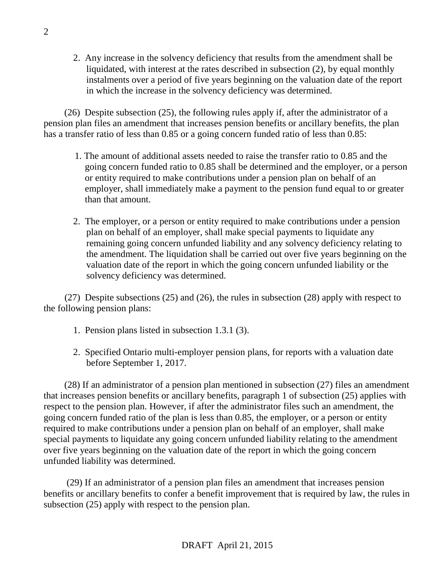2. Any increase in the solvency deficiency that results from the amendment shall be liquidated, with interest at the rates described in subsection (2), by equal monthly instalments over a period of five years beginning on the valuation date of the report in which the increase in the solvency deficiency was determined.

(26) Despite subsection (25), the following rules apply if, after the administrator of a pension plan files an amendment that increases pension benefits or ancillary benefits, the plan has a transfer ratio of less than 0.85 or a going concern funded ratio of less than 0.85:

- 1. The amount of additional assets needed to raise the transfer ratio to 0.85 and the going concern funded ratio to 0.85 shall be determined and the employer, or a person or entity required to make contributions under a pension plan on behalf of an employer, shall immediately make a payment to the pension fund equal to or greater than that amount.
- 2. The employer, or a person or entity required to make contributions under a pension plan on behalf of an employer, shall make special payments to liquidate any remaining going concern unfunded liability and any solvency deficiency relating to the amendment. The liquidation shall be carried out over five years beginning on the valuation date of the report in which the going concern unfunded liability or the solvency deficiency was determined.

 (27) Despite subsections (25) and (26), the rules in subsection (28) apply with respect to the following pension plans:

- 1. Pension plans listed in subsection 1.3.1 (3).
- 2. Specified Ontario multi-employer pension plans, for reports with a valuation date before September 1, 2017.

(28) If an administrator of a pension plan mentioned in subsection (27) files an amendment that increases pension benefits or ancillary benefits, paragraph 1 of subsection (25) applies with respect to the pension plan. However, if after the administrator files such an amendment, the going concern funded ratio of the plan is less than 0.85, the employer, or a person or entity required to make contributions under a pension plan on behalf of an employer, shall make special payments to liquidate any going concern unfunded liability relating to the amendment over five years beginning on the valuation date of the report in which the going concern unfunded liability was determined.

(29) If an administrator of a pension plan files an amendment that increases pension benefits or ancillary benefits to confer a benefit improvement that is required by law, the rules in subsection (25) apply with respect to the pension plan.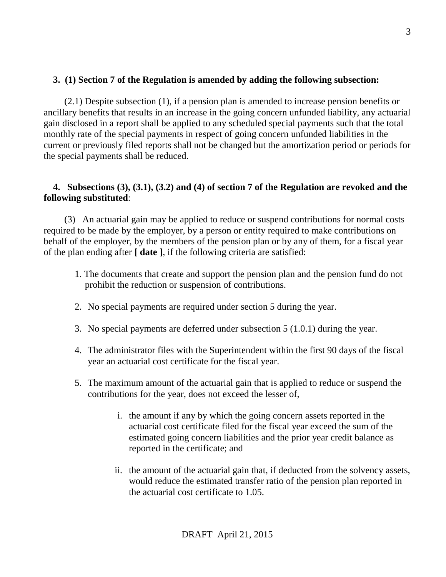## **3. (1) Section 7 of the Regulation is amended by adding the following subsection:**

(2.1) Despite subsection (1), if a pension plan is amended to increase pension benefits or ancillary benefits that results in an increase in the going concern unfunded liability, any actuarial gain disclosed in a report shall be applied to any scheduled special payments such that the total monthly rate of the special payments in respect of going concern unfunded liabilities in the current or previously filed reports shall not be changed but the amortization period or periods for the special payments shall be reduced.

# **4. Subsections (3), (3.1), (3.2) and (4) of section 7 of the Regulation are revoked and the following substituted**:

(3) An actuarial gain may be applied to reduce or suspend contributions for normal costs required to be made by the employer, by a person or entity required to make contributions on behalf of the employer, by the members of the pension plan or by any of them, for a fiscal year of the plan ending after **[ date ]**, if the following criteria are satisfied:

- 1. The documents that create and support the pension plan and the pension fund do not prohibit the reduction or suspension of contributions.
- 2. No special payments are required under section 5 during the year.
- 3. No special payments are deferred under subsection 5 (1.0.1) during the year.
- 4. The administrator files with the Superintendent within the first 90 days of the fiscal year an actuarial cost certificate for the fiscal year.
- 5. The maximum amount of the actuarial gain that is applied to reduce or suspend the contributions for the year, does not exceed the lesser of,
	- i. the amount if any by which the going concern assets reported in the actuarial cost certificate filed for the fiscal year exceed the sum of the estimated going concern liabilities and the prior year credit balance as reported in the certificate; and
	- ii. the amount of the actuarial gain that, if deducted from the solvency assets, would reduce the estimated transfer ratio of the pension plan reported in the actuarial cost certificate to 1.05.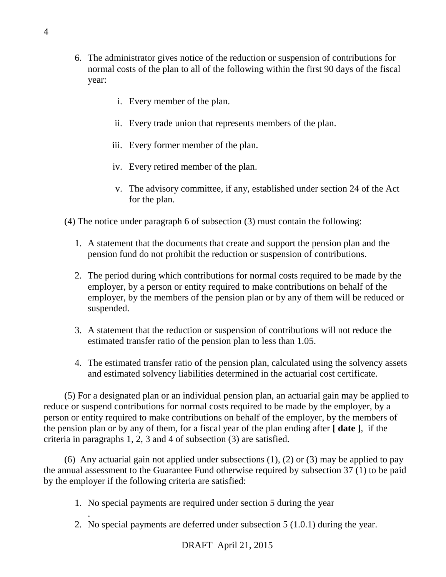- 6. The administrator gives notice of the reduction or suspension of contributions for normal costs of the plan to all of the following within the first 90 days of the fiscal year:
	- i. Every member of the plan.
	- ii. Every trade union that represents members of the plan.
	- iii. Every former member of the plan.
	- iv. Every retired member of the plan.
	- v. The advisory committee, if any, established under section 24 of the Act for the plan.

(4) The notice under paragraph 6 of subsection (3) must contain the following:

- 1. A statement that the documents that create and support the pension plan and the pension fund do not prohibit the reduction or suspension of contributions.
- 2. The period during which contributions for normal costs required to be made by the employer, by a person or entity required to make contributions on behalf of the employer, by the members of the pension plan or by any of them will be reduced or suspended.
- 3. A statement that the reduction or suspension of contributions will not reduce the estimated transfer ratio of the pension plan to less than 1.05.
- 4. The estimated transfer ratio of the pension plan, calculated using the solvency assets and estimated solvency liabilities determined in the actuarial cost certificate.

(5) For a designated plan or an individual pension plan, an actuarial gain may be applied to reduce or suspend contributions for normal costs required to be made by the employer, by a person or entity required to make contributions on behalf of the employer, by the members of the pension plan or by any of them, for a fiscal year of the plan ending after **[ date ]**, if the criteria in paragraphs 1, 2, 3 and 4 of subsection (3) are satisfied.

(6) Any actuarial gain not applied under subsections (1), (2) or (3) may be applied to pay the annual assessment to the Guarantee Fund otherwise required by subsection 37 (1) to be paid by the employer if the following criteria are satisfied:

- 1. No special payments are required under section 5 during the year
- 2. No special payments are deferred under subsection 5 (1.0.1) during the year.

.

4